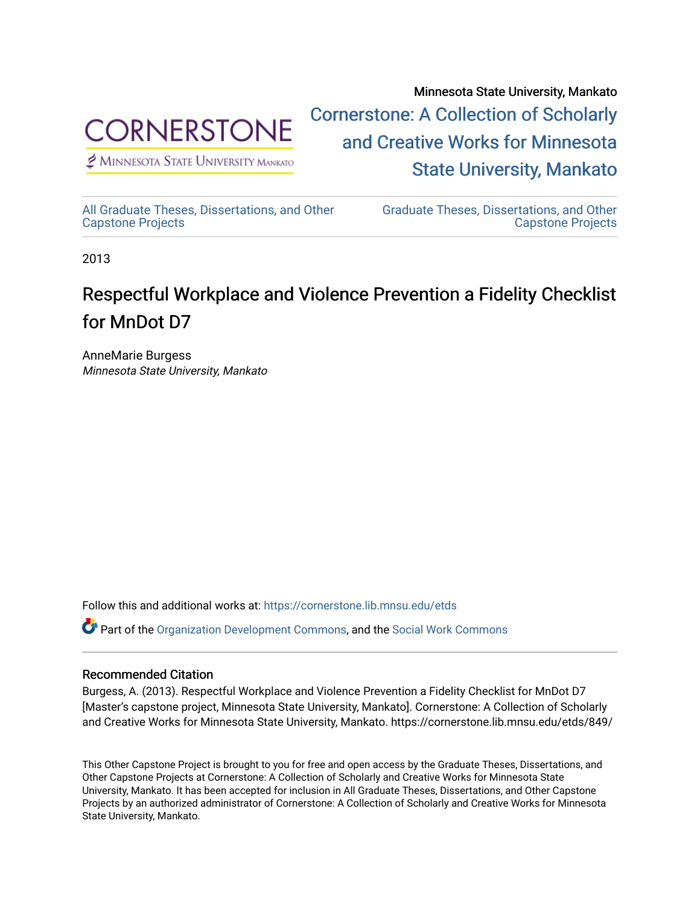

 $<sup>2</sup>$  Minnesota State University Mankato</sup>

Minnesota State University, Mankato [Cornerstone: A Collection of Scholarly](https://cornerstone.lib.mnsu.edu/)  [and Creative Works for Minnesota](https://cornerstone.lib.mnsu.edu/)  [State University, Mankato](https://cornerstone.lib.mnsu.edu/) 

[All Graduate Theses, Dissertations, and Other](https://cornerstone.lib.mnsu.edu/etds)  [Capstone Projects](https://cornerstone.lib.mnsu.edu/etds) 

[Graduate Theses, Dissertations, and Other](https://cornerstone.lib.mnsu.edu/theses_dissertations-capstone)  [Capstone Projects](https://cornerstone.lib.mnsu.edu/theses_dissertations-capstone) 

2013

#### Respectful Workplace and Violence Prevention a Fidelity Checklist for MnDot D7

AnneMarie Burgess Minnesota State University, Mankato

Follow this and additional works at: [https://cornerstone.lib.mnsu.edu/etds](https://cornerstone.lib.mnsu.edu/etds?utm_source=cornerstone.lib.mnsu.edu%2Fetds%2F849&utm_medium=PDF&utm_campaign=PDFCoverPages) 

Part of the [Organization Development Commons](http://network.bepress.com/hgg/discipline/1242?utm_source=cornerstone.lib.mnsu.edu%2Fetds%2F849&utm_medium=PDF&utm_campaign=PDFCoverPages), and the [Social Work Commons](http://network.bepress.com/hgg/discipline/713?utm_source=cornerstone.lib.mnsu.edu%2Fetds%2F849&utm_medium=PDF&utm_campaign=PDFCoverPages)

#### Recommended Citation

Burgess, A. (2013). Respectful Workplace and Violence Prevention a Fidelity Checklist for MnDot D7 [Master's capstone project, Minnesota State University, Mankato]. Cornerstone: A Collection of Scholarly and Creative Works for Minnesota State University, Mankato. https://cornerstone.lib.mnsu.edu/etds/849/

This Other Capstone Project is brought to you for free and open access by the Graduate Theses, Dissertations, and Other Capstone Projects at Cornerstone: A Collection of Scholarly and Creative Works for Minnesota State University, Mankato. It has been accepted for inclusion in All Graduate Theses, Dissertations, and Other Capstone Projects by an authorized administrator of Cornerstone: A Collection of Scholarly and Creative Works for Minnesota State University, Mankato.